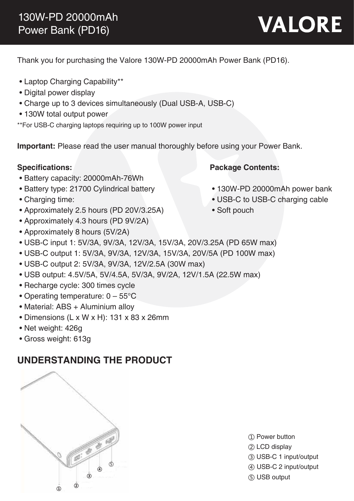# **VALORE**

Thank you for purchasing the Valore 130W-PD 20000mAh Power Bank (PD16).

- Laptop Charging Capability\*\*
- Digital power display
- Charge up to 3 devices simultaneously (Dual USB-A, USB-C)
- 130W total output power
- \*\*For USB-C charging laptops requiring up to 100W power input

**Important:** Please read the user manual thoroughly before using your Power Bank.

## **Specifications: Package Contents:**

- Battery capacity: 20000mAh-76Wh
- Battery type: 21700 Cylindrical battery
- Charging time:
- Approximately 2.5 hours (PD 20V/3.25A)
- Approximately 4.3 hours (PD 9V/2A)
- Approximately 8 hours (5V/2A)
- USB-C input 1: 5V/3A, 9V/3A, 12V/3A, 15V/3A, 20V/3.25A (PD 65W max)
- USB-C output 1: 5V/3A, 9V/3A, 12V/3A, 15V/3A, 20V/5A (PD 100W max)
- USB-C output 2: 5V/3A, 9V/3A, 12V/2.5A (30W max)
- USB output: 4.5V/5A, 5V/4.5A, 5V/3A, 9V/2A, 12V/1.5A (22.5W max)
- Recharge cycle: 300 times cycle
- Operating temperature: 0 55°C
- Material: ABS + Aluminium alloy
- Dimensions (L x W x H): 131 x 83 x 26mm
- Net weight: 426g
- Gross weight: 613g

# **UNDERSTANDING THE PRODUCT**



- ① Power button
- ② LCD display
- ③ USB-C 1 input/output
- ④ USB-C 2 input/output
- ⑤ USB output
- 130W-PD 20000mAh power bank
- USB-C to USB-C charging cable
- Soft pouch
- 
-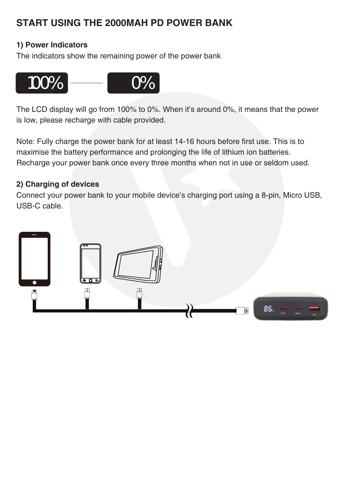# **START USING THE 2000MAH PD POWER BANK**

## **1) Power Indicators**

The indicators show the remaining power of the power bank



The LCD display will go from 100% to 0%. When it's around 0%, it means that the power is low, please recharge with cable provided.

Note: Fully charge the power bank for at least 14-16 hours before first use. This is to maximise the battery performance and prolonging the life of lithium ion batteries. Recharge your power bank once every three months when not in use or seldom used.

#### **2) Charging of devices**

Connect your power bank to your mobile device's charging port using a 8-pin, Micro USB, USB-C cable.

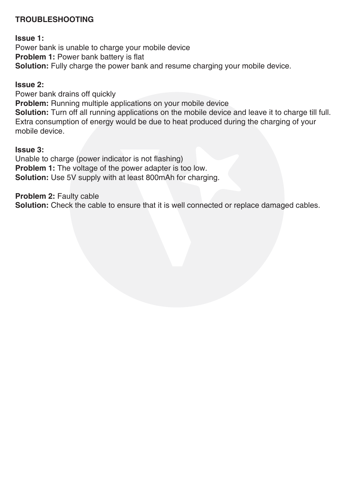## **TROUBLESHOOTING**

**Issue 1:**

Power bank is unable to charge your mobile device **Problem 1:** Power bank battery is flat **Solution:** Fully charge the power bank and resume charging your mobile device.

#### **Issue 2:**

Power bank drains off quickly **Problem:** Running multiple applications on your mobile device **Solution:** Turn off all running applications on the mobile device and leave it to charge till full. Extra consumption of energy would be due to heat produced during the charging of your mobile device.

#### **Issue 3:**

Unable to charge (power indicator is not flashing) **Problem 1:** The voltage of the power adapter is too low. **Solution:** Use 5V supply with at least 800mAh for charging.

**Problem 2:** Faulty cable

**Solution:** Check the cable to ensure that it is well connected or replace damaged cables.